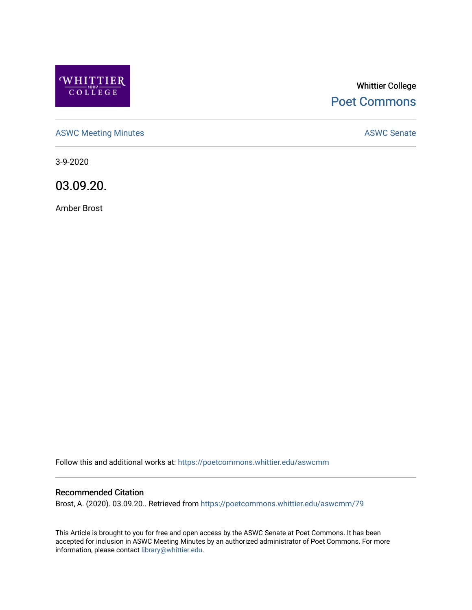

# Whittier College [Poet Commons](https://poetcommons.whittier.edu/)

[ASWC Meeting Minutes](https://poetcommons.whittier.edu/aswcmm) **ASWC Senate** 

3-9-2020

03.09.20.

Amber Brost

Follow this and additional works at: [https://poetcommons.whittier.edu/aswcmm](https://poetcommons.whittier.edu/aswcmm?utm_source=poetcommons.whittier.edu%2Faswcmm%2F79&utm_medium=PDF&utm_campaign=PDFCoverPages)

#### Recommended Citation

Brost, A. (2020). 03.09.20.. Retrieved from [https://poetcommons.whittier.edu/aswcmm/79](https://poetcommons.whittier.edu/aswcmm/79?utm_source=poetcommons.whittier.edu%2Faswcmm%2F79&utm_medium=PDF&utm_campaign=PDFCoverPages)

This Article is brought to you for free and open access by the ASWC Senate at Poet Commons. It has been accepted for inclusion in ASWC Meeting Minutes by an authorized administrator of Poet Commons. For more information, please contact [library@whittier.edu.](mailto:library@whittier.edu)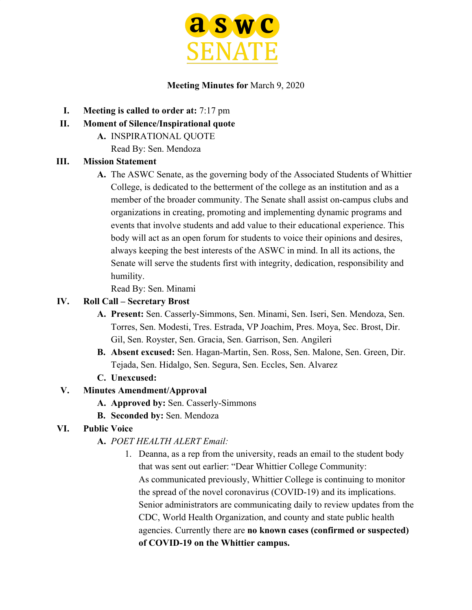

# **Meeting Minutes for** March 9, 2020

- **I. Meeting is called to order at:** 7:17 pm
- **II. Moment of Silence/Inspirational quote**
	- **A.** INSPIRATIONAL QUOTE
		- Read By: Sen. Mendoza

# **III. Mission Statement**

**A.** The ASWC Senate, as the governing body of the Associated Students of Whittier College, is dedicated to the betterment of the college as an institution and as a member of the broader community. The Senate shall assist on-campus clubs and organizations in creating, promoting and implementing dynamic programs and events that involve students and add value to their educational experience. This body will act as an open forum for students to voice their opinions and desires, always keeping the best interests of the ASWC in mind. In all its actions, the Senate will serve the students first with integrity, dedication, responsibility and humility.

Read By: Sen. Minami

### **IV. Roll Call – Secretary Brost**

- **A. Present:** Sen. Casserly-Simmons, Sen. Minami, Sen. Iseri, Sen. Mendoza, Sen. Torres, Sen. Modesti, Tres. Estrada, VP Joachim, Pres. Moya, Sec. Brost, Dir. Gil, Sen. Royster, Sen. Gracia, Sen. Garrison, Sen. Angileri
- **B. Absent excused:** Sen. Hagan-Martin, Sen. Ross, Sen. Malone, Sen. Green, Dir. Tejada, Sen. Hidalgo, Sen. Segura, Sen. Eccles, Sen. Alvarez
- **C. Unexcused:**

# **V. Minutes Amendment/Approval**

- **A. Approved by:** Sen. Casserly-Simmons
- **B. Seconded by:** Sen. Mendoza

# **VI. Public Voice**

# **A.** *POET HEALTH ALERT Email:*

1. Deanna, as a rep from the university, reads an email to the student body that was sent out earlier: "Dear Whittier College Community: As communicated previously, Whittier College is continuing to monitor the spread of the novel coronavirus (COVID-19) and its implications. Senior administrators are communicating daily to review updates from the CDC, World Health Organization, and county and state public health agencies. Currently there are **no known cases (confirmed or suspected) of COVID-19 on the Whittier campus.**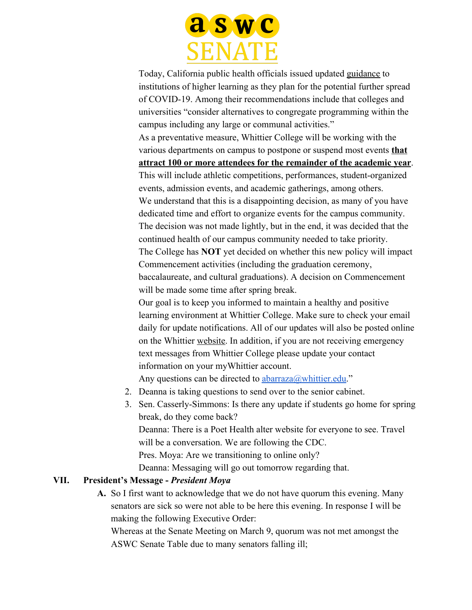

Today, California public health officials issued updated [guidance](https://www.cdph.ca.gov/Programs/CID/DCDC/CDPH%20Document%20Library/School%20Guidance_ADA%20Compliant_FINAL.pdf) to institutions of higher learning as they plan for the potential further spread of COVID-19. Among their recommendations include that colleges and universities "consider alternatives to congregate programming within the campus including any large or communal activities." As a preventative measure, Whittier College will be working with the various departments on campus to postpone or suspend most events **that attract 100 or more attendees for the remainder of the academic year**. This will include athletic competitions, performances, student-organized events, admission events, and academic gatherings, among others. We understand that this is a disappointing decision, as many of you have dedicated time and effort to organize events for the campus community. The decision was not made lightly, but in the end, it was decided that the continued health of our campus community needed to take priority. The College has **NOT** yet decided on whether this new policy will impact Commencement activities (including the graduation ceremony, baccalaureate, and cultural graduations). A decision on Commencement will be made some time after spring break. Our goal is to keep you informed to maintain a healthy and positive learning environment at Whittier College. Make sure to check your email daily for update notifications. All of our updates will also be posted online

on the Whittier [website](https://www.whittier.edu/news/fri-02282020-409-pm/poet-health-alert). In addition, if you are not receiving emergency text messages from Whittier College please update your contact information on your myWhittier account.

Any questions can be directed to  $\frac{abarraza(a)$  whittier.edu."

- 2. Deanna is taking questions to send over to the senior cabinet.
- 3. Sen. Casserly-Simmons: Is there any update if students go home for spring break, do they come back? Deanna: There is a Poet Health alter website for everyone to see. Travel will be a conversation. We are following the CDC. Pres. Moya: Are we transitioning to online only? Deanna: Messaging will go out tomorrow regarding that.

#### **VII. President's Message -** *President Moya*

**A.** So I first want to acknowledge that we do not have quorum this evening. Many senators are sick so were not able to be here this evening. In response I will be making the following Executive Order:

Whereas at the Senate Meeting on March 9, quorum was not met amongst the ASWC Senate Table due to many senators falling ill;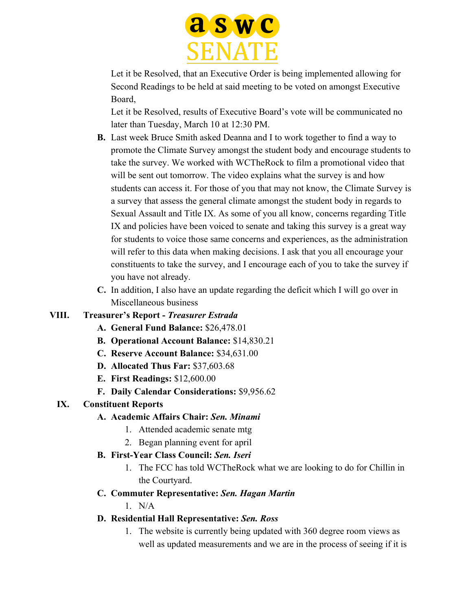

Let it be Resolved, that an Executive Order is being implemented allowing for Second Readings to be held at said meeting to be voted on amongst Executive Board,

Let it be Resolved, results of Executive Board's vote will be communicated no later than Tuesday, March 10 at 12:30 PM.

- **B.** Last week Bruce Smith asked Deanna and I to work together to find a way to promote the Climate Survey amongst the student body and encourage students to take the survey. We worked with WCTheRock to film a promotional video that will be sent out tomorrow. The video explains what the survey is and how students can access it. For those of you that may not know, the Climate Survey is a survey that assess the general climate amongst the student body in regards to Sexual Assault and Title IX. As some of you all know, concerns regarding Title IX and policies have been voiced to senate and taking this survey is a great way for students to voice those same concerns and experiences, as the administration will refer to this data when making decisions. I ask that you all encourage your constituents to take the survey, and I encourage each of you to take the survey if you have not already.
- **C.** In addition, I also have an update regarding the deficit which I will go over in Miscellaneous business

# **VIII. Treasurer's Report -** *Treasurer Estrada*

- **A. General Fund Balance:** \$26,478.01
- **B. Operational Account Balance:** \$14,830.21
- **C. Reserve Account Balance:** \$34,631.00
- **D. Allocated Thus Far:** \$37,603.68
- **E. First Readings:** \$12,600.00
- **F. Daily Calendar Considerations:** \$9,956.62

#### **IX. Constituent Reports**

#### **A. Academic Affairs Chair:** *Sen. Minami*

- 1. Attended academic senate mtg
- 2. Began planning event for april
- **B. First-Year Class Council:** *Sen. Iseri*
	- 1. The FCC has told WCTheRock what we are looking to do for Chillin in the Courtyard.

# **C. Commuter Representative:** *Sen. Hagan Martin*

 $1$  N/A

# **D. Residential Hall Representative:** *Sen. Ross*

1. The website is currently being updated with 360 degree room views as well as updated measurements and we are in the process of seeing if it is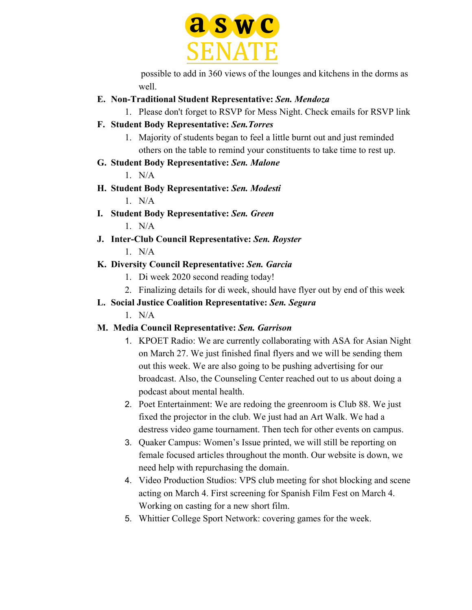

 possible to add in 360 views of the lounges and kitchens in the dorms as well.

**E. Non-Traditional Student Representative:** *Sen. Mendoza*

1. Please don't forget to RSVP for Mess Night. Check emails for RSVP link

- **F. Student Body Representative:** *Sen.Torres*
	- 1. Majority of students began to feel a little burnt out and just reminded others on the table to remind your constituents to take time to rest up.
- **G. Student Body Representative:** *Sen. Malone*

 $1$  N/A

- **H. Student Body Representative:** *Sen. Modesti* 1. N/A
- **I. Student Body Representative:** *Sen. Green*
	- 1. N/A
- **J. Inter-Club Council Representative:** *Sen. Royster*
	- $1$  N/A

# **K. Diversity Council Representative:** *Sen. Garcia*

- 1. Di week 2020 second reading today!
- 2. Finalizing details for di week, should have flyer out by end of this week
- **L. Social Justice Coalition Representative:** *Sen. Segura*
	- $1$  N/A

# **M. Media Council Representative:** *Sen. Garrison*

- 1. KPOET Radio: We are currently collaborating with ASA for Asian Night on March 27. We just finished final flyers and we will be sending them out this week. We are also going to be pushing advertising for our broadcast. Also, the Counseling Center reached out to us about doing a podcast about mental health.
- 2. Poet Entertainment: We are redoing the greenroom is Club 88. We just fixed the projector in the club. We just had an Art Walk. We had a destress video game tournament. Then tech for other events on campus.
- 3. Quaker Campus: Women's Issue printed, we will still be reporting on female focused articles throughout the month. Our website is down, we need help with repurchasing the domain.
- 4. Video Production Studios: VPS club meeting for shot blocking and scene acting on March 4. First screening for Spanish Film Fest on March 4. Working on casting for a new short film.
- 5. Whittier College Sport Network: covering games for the week.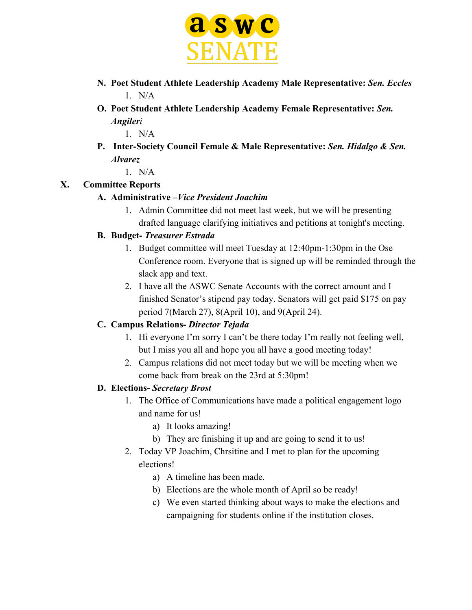

- **N. Poet Student Athlete Leadership Academy Male Representative:** *Sen. Eccles*  $1$  N/A
- **O. Poet Student Athlete Leadership Academy Female Representative:** *Sen. Angileri*

1. N/A

**P. Inter-Society Council Female & Male Representative:** *Sen. Hidalgo & Sen. Alvarez*

1. N/A

# **X. Committee Reports**

# **A. Administrative –***Vice President Joachim*

1. Admin Committee did not meet last week, but we will be presenting drafted language clarifying initiatives and petitions at tonight's meeting.

# **B. Budget-** *Treasurer Estrada*

- 1. Budget committee will meet Tuesday at 12:40pm-1:30pm in the Ose Conference room. Everyone that is signed up will be reminded through the slack app and text.
- 2. I have all the ASWC Senate Accounts with the correct amount and I finished Senator's stipend pay today. Senators will get paid \$175 on pay period 7(March 27), 8(April 10), and 9(April 24).

# **C. Campus Relations-** *Director Tejada*

- 1. Hi everyone I'm sorry I can't be there today I'm really not feeling well, but I miss you all and hope you all have a good meeting today!
- 2. Campus relations did not meet today but we will be meeting when we come back from break on the 23rd at 5:30pm!

# **D. Elections-** *Secretary Brost*

- 1. The Office of Communications have made a political engagement logo and name for us!
	- a) It looks amazing!
	- b) They are finishing it up and are going to send it to us!
- 2. Today VP Joachim, Chrsitine and I met to plan for the upcoming elections!
	- a) A timeline has been made.
	- b) Elections are the whole month of April so be ready!
	- c) We even started thinking about ways to make the elections and campaigning for students online if the institution closes.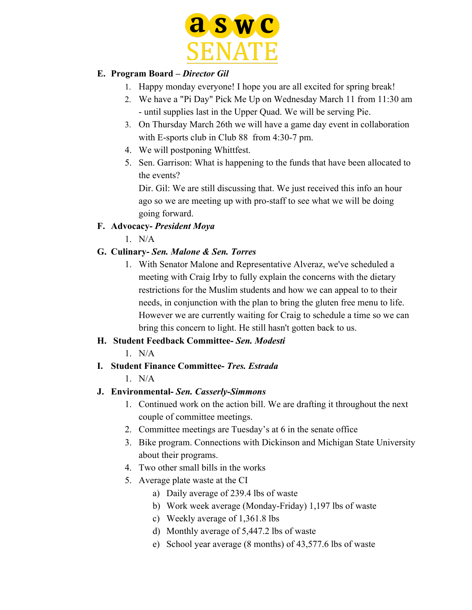

# **E. Program Board –** *Director Gil*

- 1. Happy monday everyone! I hope you are all excited for spring break!
- 2. We have a "Pi Day" Pick Me Up on Wednesday March 11 from 11:30 am - until supplies last in the Upper Quad. We will be serving Pie.
- 3. On Thursday March 26th we will have a game day event in collaboration with E-sports club in Club 88 from 4:30-7 pm.
- 4. We will postponing Whittfest.
- 5. Sen. Garrison: What is happening to the funds that have been allocated to the events?

Dir. Gil: We are still discussing that. We just received this info an hour ago so we are meeting up with pro-staff to see what we will be doing going forward.

# **F. Advocacy-** *President Moya*

 $1$  N/A

# **G. Culinary-** *Sen. Malone & Sen. Torres*

1. With Senator Malone and Representative Alveraz, we've scheduled a meeting with Craig Irby to fully explain the concerns with the dietary restrictions for the Muslim students and how we can appeal to to their needs, in conjunction with the plan to bring the gluten free menu to life. However we are currently waiting for Craig to schedule a time so we can bring this concern to light. He still hasn't gotten back to us.

# **H. Student Feedback Committee-** *Sen. Modesti*

 $1$  N/A

# **I. Student Finance Committee-** *Tres. Estrada*

# $1$  N/A

# **J. Environmental-** *Sen. Casserly-Simmons*

- 1. Continued work on the action bill. We are drafting it throughout the next couple of committee meetings.
- 2. Committee meetings are Tuesday's at 6 in the senate office
- 3. Bike program. Connections with Dickinson and Michigan State University about their programs.
- 4. Two other small bills in the works
- 5. Average plate waste at the CI
	- a) Daily average of 239.4 lbs of waste
	- b) Work week average (Monday-Friday) 1,197 lbs of waste
	- c) Weekly average of 1,361.8 lbs
	- d) Monthly average of 5,447.2 lbs of waste
	- e) School year average (8 months) of 43,577.6 lbs of waste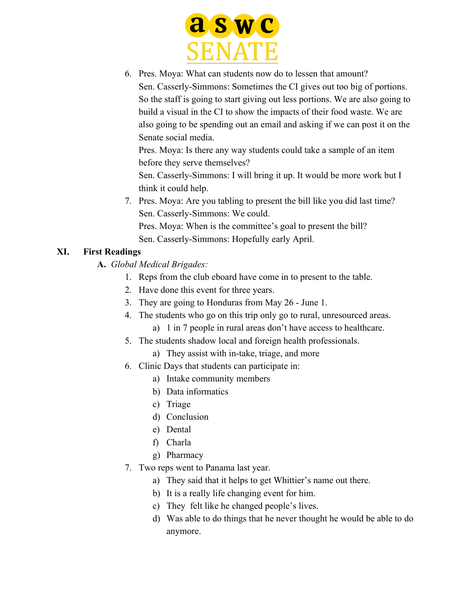

6. Pres. Moya: What can students now do to lessen that amount? Sen. Casserly-Simmons: Sometimes the CI gives out too big of portions. So the staff is going to start giving out less portions. We are also going to build a visual in the CI to show the impacts of their food waste. We are also going to be spending out an email and asking if we can post it on the Senate social media.

Pres. Moya: Is there any way students could take a sample of an item before they serve themselves?

Sen. Casserly-Simmons: I will bring it up. It would be more work but I think it could help.

7. Pres. Moya: Are you tabling to present the bill like you did last time? Sen. Casserly-Simmons: We could. Pres. Moya: When is the committee's goal to present the bill?

Sen. Casserly-Simmons: Hopefully early April.

# **XI. First Readings**

- **A.** *Global Medical Brigades:*
	- 1. Reps from the club eboard have come in to present to the table.
	- 2. Have done this event for three years.
	- 3. They are going to Honduras from May 26 June 1.
	- 4. The students who go on this trip only go to rural, unresourced areas.
		- a) 1 in 7 people in rural areas don't have access to healthcare.
	- 5. The students shadow local and foreign health professionals.
		- a) They assist with in-take, triage, and more
	- 6. Clinic Days that students can participate in:
		- a) Intake community members
		- b) Data informatics
		- c) Triage
		- d) Conclusion
		- e) Dental
		- f) Charla
		- g) Pharmacy
	- 7. Two reps went to Panama last year.
		- a) They said that it helps to get Whittier's name out there.
		- b) It is a really life changing event for him.
		- c) They felt like he changed people's lives.
		- d) Was able to do things that he never thought he would be able to do anymore.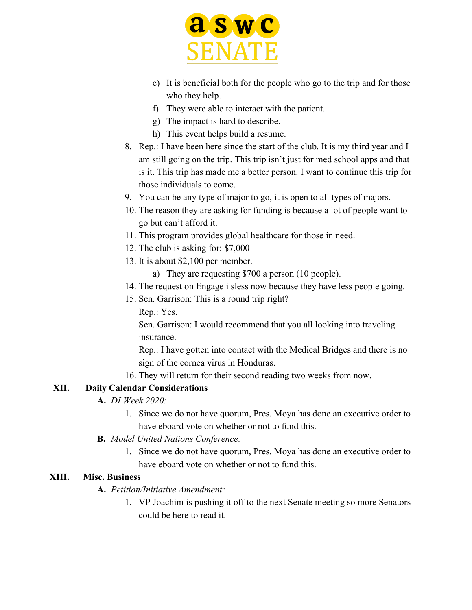

- e) It is beneficial both for the people who go to the trip and for those who they help.
- f) They were able to interact with the patient.
- g) The impact is hard to describe.
- h) This event helps build a resume.
- 8. Rep.: I have been here since the start of the club. It is my third year and I am still going on the trip. This trip isn't just for med school apps and that is it. This trip has made me a better person. I want to continue this trip for those individuals to come.
- 9. You can be any type of major to go, it is open to all types of majors.
- 10. The reason they are asking for funding is because a lot of people want to go but can't afford it.
- 11. This program provides global healthcare for those in need.
- 12. The club is asking for: \$7,000
- 13. It is about \$2,100 per member.
	- a) They are requesting \$700 a person (10 people).
- 14. The request on Engage i sless now because they have less people going.
- 15. Sen. Garrison: This is a round trip right?

Rep.: Yes.

Sen. Garrison: I would recommend that you all looking into traveling insurance.

Rep.: I have gotten into contact with the Medical Bridges and there is no sign of the cornea virus in Honduras.

16. They will return for their second reading two weeks from now.

# **XII. Daily Calendar Considerations**

- **A.** *DI Week 2020:*
	- 1. Since we do not have quorum, Pres. Moya has done an executive order to have eboard vote on whether or not to fund this.
- **B.** *Model United Nations Conference:*
	- 1. Since we do not have quorum, Pres. Moya has done an executive order to have eboard vote on whether or not to fund this.

#### **XIII. Misc. Business**

#### **A.** *Petition/Initiative Amendment:*

1. VP Joachim is pushing it off to the next Senate meeting so more Senators could be here to read it.